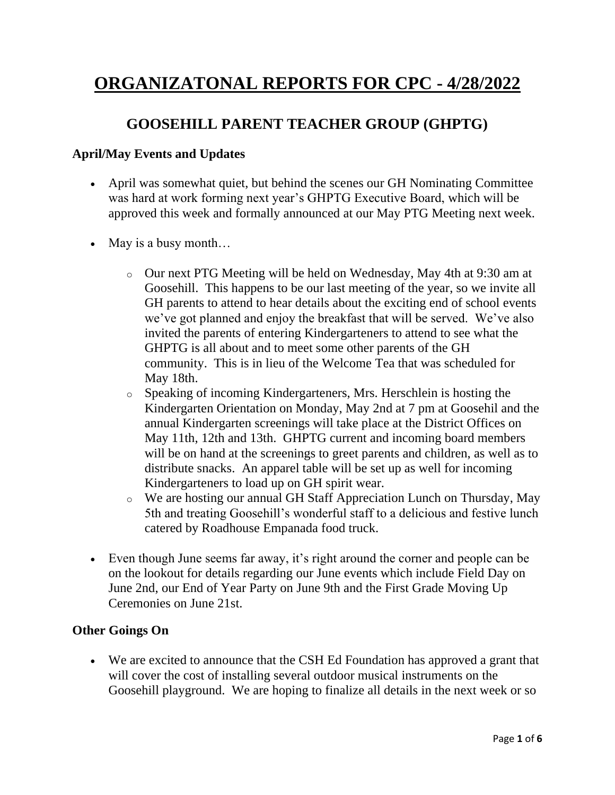# **ORGANIZATONAL REPORTS FOR CPC - 4/28/2022**

#### **GOOSEHILL PARENT TEACHER GROUP (GHPTG)**

#### **April/May Events and Updates**

- April was somewhat quiet, but behind the scenes our GH Nominating Committee was hard at work forming next year's GHPTG Executive Board, which will be approved this week and formally announced at our May PTG Meeting next week.
- May is a busy month...
	- o Our next PTG Meeting will be held on Wednesday, May 4th at 9:30 am at Goosehill. This happens to be our last meeting of the year, so we invite all GH parents to attend to hear details about the exciting end of school events we've got planned and enjoy the breakfast that will be served. We've also invited the parents of entering Kindergarteners to attend to see what the GHPTG is all about and to meet some other parents of the GH community. This is in lieu of the Welcome Tea that was scheduled for May 18th.
	- o Speaking of incoming Kindergarteners, Mrs. Herschlein is hosting the Kindergarten Orientation on Monday, May 2nd at 7 pm at Goosehil and the annual Kindergarten screenings will take place at the District Offices on May 11th, 12th and 13th. GHPTG current and incoming board members will be on hand at the screenings to greet parents and children, as well as to distribute snacks. An apparel table will be set up as well for incoming Kindergarteners to load up on GH spirit wear.
	- o We are hosting our annual GH Staff Appreciation Lunch on Thursday, May 5th and treating Goosehill's wonderful staff to a delicious and festive lunch catered by Roadhouse Empanada food truck.
- Even though June seems far away, it's right around the corner and people can be on the lookout for details regarding our June events which include Field Day on June 2nd, our End of Year Party on June 9th and the First Grade Moving Up Ceremonies on June 21st.

#### **Other Goings On**

• We are excited to announce that the CSH Ed Foundation has approved a grant that will cover the cost of installing several outdoor musical instruments on the Goosehill playground. We are hoping to finalize all details in the next week or so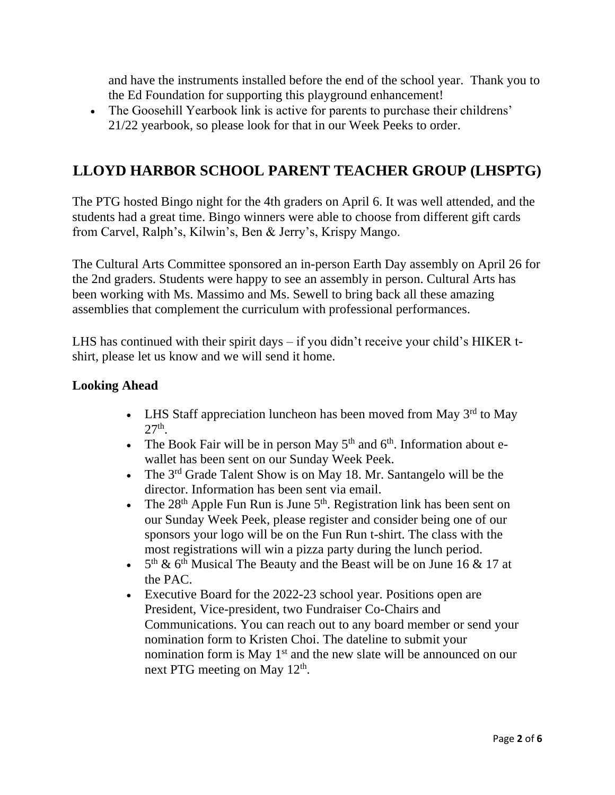and have the instruments installed before the end of the school year. Thank you to the Ed Foundation for supporting this playground enhancement!

• The Goosehill Yearbook link is active for parents to purchase their childrens' 21/22 yearbook, so please look for that in our Week Peeks to order.

### **LLOYD HARBOR SCHOOL PARENT TEACHER GROUP (LHSPTG)**

The PTG hosted Bingo night for the 4th graders on April 6. It was well attended, and the students had a great time. Bingo winners were able to choose from different gift cards from Carvel, Ralph's, Kilwin's, Ben & Jerry's, Krispy Mango.

The Cultural Arts Committee sponsored an in-person Earth Day assembly on April 26 for the 2nd graders. Students were happy to see an assembly in person. Cultural Arts has been working with Ms. Massimo and Ms. Sewell to bring back all these amazing assemblies that complement the curriculum with professional performances.

LHS has continued with their spirit days – if you didn't receive your child's HIKER tshirt, please let us know and we will send it home.

#### **Looking Ahead**

- LHS Staff appreciation luncheon has been moved from May  $3<sup>rd</sup>$  to May  $27<sup>th</sup>$ .
- The Book Fair will be in person May  $5<sup>th</sup>$  and  $6<sup>th</sup>$ . Information about ewallet has been sent on our Sunday Week Peek.
- The  $3<sup>rd</sup>$  Grade Talent Show is on May 18. Mr. Santangelo will be the director. Information has been sent via email.
- The  $28<sup>th</sup>$  Apple Fun Run is June  $5<sup>th</sup>$ . Registration link has been sent on our Sunday Week Peek, please register and consider being one of our sponsors your logo will be on the Fun Run t-shirt. The class with the most registrations will win a pizza party during the lunch period.
- $5<sup>th</sup>$  & 6<sup>th</sup> Musical The Beauty and the Beast will be on June 16 & 17 at the PAC.
- Executive Board for the 2022-23 school year. Positions open are President, Vice-president, two Fundraiser Co-Chairs and Communications. You can reach out to any board member or send your nomination form to Kristen Choi. The dateline to submit your nomination form is May 1<sup>st</sup> and the new slate will be announced on our next PTG meeting on May  $12<sup>th</sup>$ .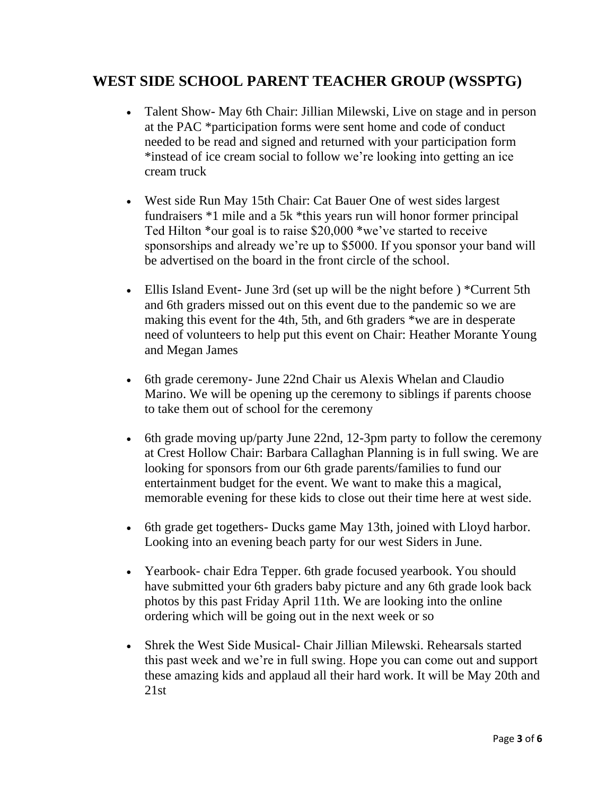### **WEST SIDE SCHOOL PARENT TEACHER GROUP (WSSPTG)**

- Talent Show- May 6th Chair: Jillian Milewski, Live on stage and in person at the PAC \*participation forms were sent home and code of conduct needed to be read and signed and returned with your participation form \*instead of ice cream social to follow we're looking into getting an ice cream truck
- West side Run May 15th Chair: Cat Bauer One of west sides largest fundraisers \*1 mile and a 5k \*this years run will honor former principal Ted Hilton \*our goal is to raise \$20,000 \*we've started to receive sponsorships and already we're up to \$5000. If you sponsor your band will be advertised on the board in the front circle of the school.
- Ellis Island Event- June 3rd (set up will be the night before) \*Current 5th and 6th graders missed out on this event due to the pandemic so we are making this event for the 4th, 5th, and 6th graders \*we are in desperate need of volunteers to help put this event on Chair: Heather Morante Young and Megan James
- 6th grade ceremony June 22nd Chair us Alexis Whelan and Claudio Marino. We will be opening up the ceremony to siblings if parents choose to take them out of school for the ceremony
- 6th grade moving up/party June 22nd, 12-3pm party to follow the ceremony at Crest Hollow Chair: Barbara Callaghan Planning is in full swing. We are looking for sponsors from our 6th grade parents/families to fund our entertainment budget for the event. We want to make this a magical, memorable evening for these kids to close out their time here at west side.
- 6th grade get togethers- Ducks game May 13th, joined with Lloyd harbor. Looking into an evening beach party for our west Siders in June.
- Yearbook- chair Edra Tepper. 6th grade focused yearbook. You should have submitted your 6th graders baby picture and any 6th grade look back photos by this past Friday April 11th. We are looking into the online ordering which will be going out in the next week or so
- Shrek the West Side Musical- Chair Jillian Milewski. Rehearsals started this past week and we're in full swing. Hope you can come out and support these amazing kids and applaud all their hard work. It will be May 20th and  $21st$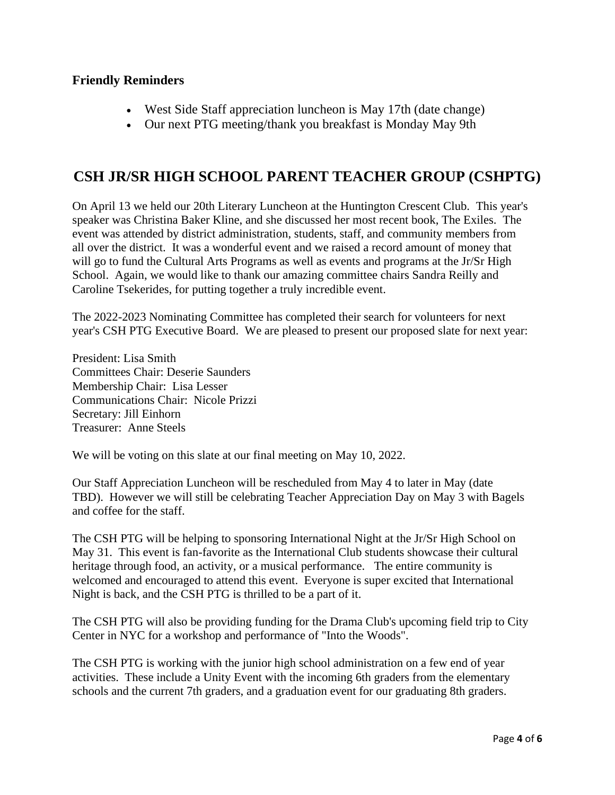#### **Friendly Reminders**

- West Side Staff appreciation luncheon is May 17th (date change)
- Our next PTG meeting/thank you breakfast is Monday May 9th

### **CSH JR/SR HIGH SCHOOL PARENT TEACHER GROUP (CSHPTG)**

On April 13 we held our 20th Literary Luncheon at the Huntington Crescent Club. This year's speaker was Christina Baker Kline, and she discussed her most recent book, The Exiles. The event was attended by district administration, students, staff, and community members from all over the district. It was a wonderful event and we raised a record amount of money that will go to fund the Cultural Arts Programs as well as events and programs at the Jr/Sr High School. Again, we would like to thank our amazing committee chairs Sandra Reilly and Caroline Tsekerides, for putting together a truly incredible event.

The 2022-2023 Nominating Committee has completed their search for volunteers for next year's CSH PTG Executive Board. We are pleased to present our proposed slate for next year:

President: Lisa Smith Committees Chair: Deserie Saunders Membership Chair: Lisa Lesser Communications Chair: Nicole Prizzi Secretary: Jill Einhorn Treasurer: Anne Steels

We will be voting on this slate at our final meeting on May 10, 2022.

Our Staff Appreciation Luncheon will be rescheduled from May 4 to later in May (date TBD). However we will still be celebrating Teacher Appreciation Day on May 3 with Bagels and coffee for the staff.

The CSH PTG will be helping to sponsoring International Night at the Jr/Sr High School on May 31. This event is fan-favorite as the International Club students showcase their cultural heritage through food, an activity, or a musical performance. The entire community is welcomed and encouraged to attend this event. Everyone is super excited that International Night is back, and the CSH PTG is thrilled to be a part of it.

The CSH PTG will also be providing funding for the Drama Club's upcoming field trip to City Center in NYC for a workshop and performance of "Into the Woods".

The CSH PTG is working with the junior high school administration on a few end of year activities. These include a Unity Event with the incoming 6th graders from the elementary schools and the current 7th graders, and a graduation event for our graduating 8th graders.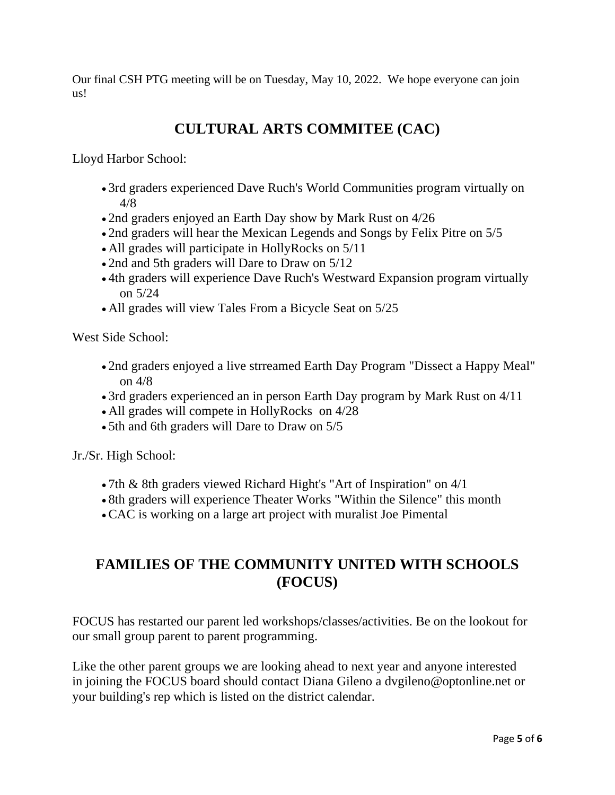Our final CSH PTG meeting will be on Tuesday, May 10, 2022. We hope everyone can join us!

## **CULTURAL ARTS COMMITEE (CAC)**

Lloyd Harbor School:

- 3rd graders experienced Dave Ruch's World Communities program virtually on 4/8
- 2nd graders enjoyed an Earth Day show by Mark Rust on 4/26
- 2nd graders will hear the Mexican Legends and Songs by Felix Pitre on 5/5
- All grades will participate in HollyRocks on 5/11
- 2nd and 5th graders will Dare to Draw on  $5/12$
- 4th graders will experience Dave Ruch's Westward Expansion program virtually on 5/24
- All grades will view Tales From a Bicycle Seat on  $5/25$

West Side School:

- 2nd graders enjoyed a live strreamed Earth Day Program "Dissect a Happy Meal" on 4/8
- 3rd graders experienced an in person Earth Day program by Mark Rust on 4/11
- All grades will compete in HollyRocks on 4/28
- 5th and 6th graders will Dare to Draw on 5/5

Jr./Sr. High School:

- 7th & 8th graders viewed Richard Hight's "Art of Inspiration" on 4/1
- 8th graders will experience Theater Works "Within the Silence" this month
- •CAC is working on a large art project with muralist Joe Pimental

### **FAMILIES OF THE COMMUNITY UNITED WITH SCHOOLS (FOCUS)**

FOCUS has restarted our parent led workshops/classes/activities. Be on the lookout for our small group parent to parent programming.

Like the other parent groups we are looking ahead to next year and anyone interested in joining the FOCUS board should contact Diana Gileno a [dvgileno@optonline.net](mailto:dvgileno@optonline.net) or your building's rep which is listed on the district calendar.